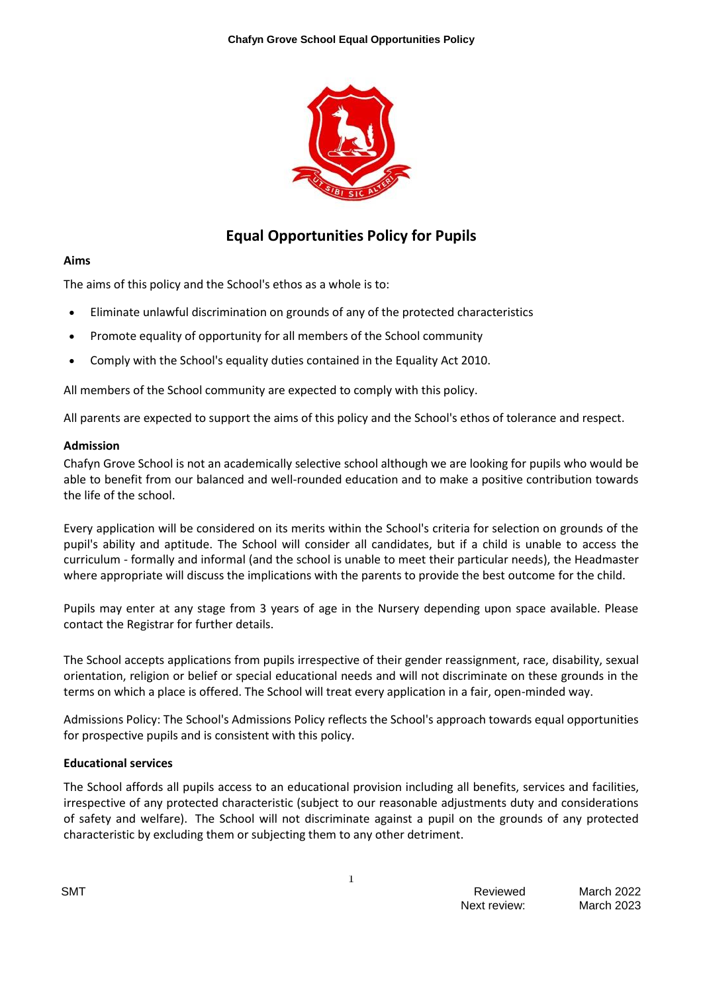

# **Equal Opportunities Policy for Pupils**

#### **Aims**

The aims of this policy and the School's ethos as a whole is to:

- Eliminate unlawful discrimination on grounds of any of the protected characteristics
- Promote equality of opportunity for all members of the School community
- Comply with the School's equality duties contained in the Equality Act 2010.

All members of the School community are expected to comply with this policy.

All parents are expected to support the aims of this policy and the School's ethos of tolerance and respect.

#### **Admission**

Chafyn Grove School is not an academically selective school although we are looking for pupils who would be able to benefit from our balanced and well-rounded education and to make a positive contribution towards the life of the school.

Every application will be considered on its merits within the School's criteria for selection on grounds of the pupil's ability and aptitude. The School will consider all candidates, but if a child is unable to access the curriculum - formally and informal (and the school is unable to meet their particular needs), the Headmaster where appropriate will discuss the implications with the parents to provide the best outcome for the child.

Pupils may enter at any stage from 3 years of age in the Nursery depending upon space available. Please contact the Registrar for further details.

The School accepts applications from pupils irrespective of their gender reassignment, race, disability, sexual orientation, religion or belief or special educational needs and will not discriminate on these grounds in the terms on which a place is offered. The School will treat every application in a fair, open-minded way.

Admissions Policy: The School's Admissions Policy reflects the School's approach towards equal opportunities for prospective pupils and is consistent with this policy.

### **Educational services**

The School affords all pupils access to an educational provision including all benefits, services and facilities, irrespective of any protected characteristic (subject to our reasonable adjustments duty and considerations of safety and welfare). The School will not discriminate against a pupil on the grounds of any protected characteristic by excluding them or subjecting them to any other detriment.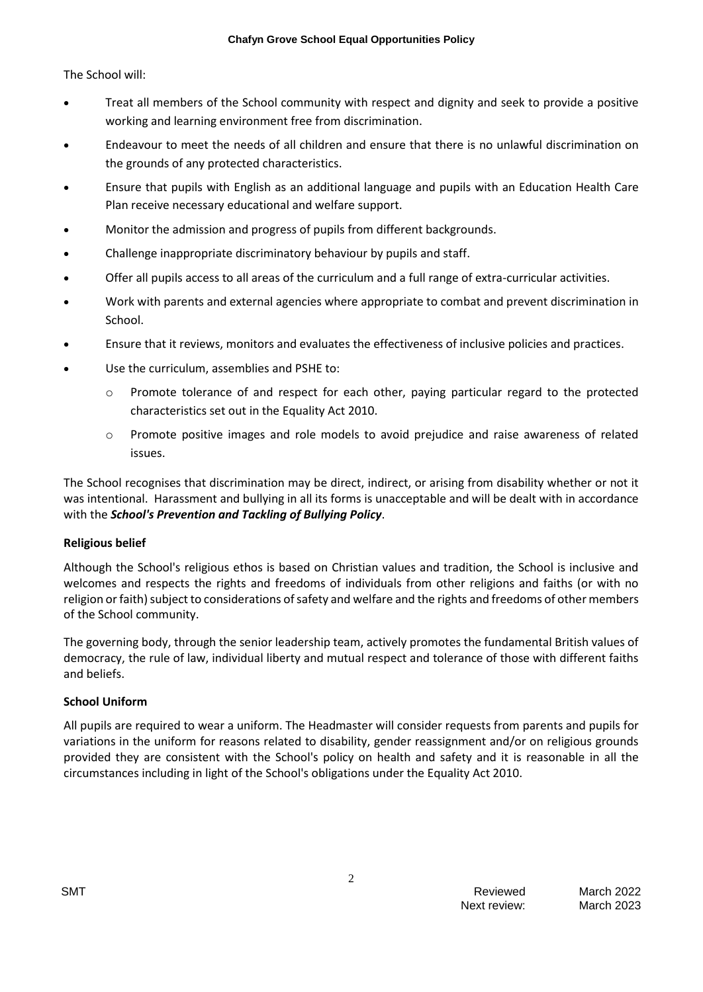The School will:

- Treat all members of the School community with respect and dignity and seek to provide a positive working and learning environment free from discrimination.
- Endeavour to meet the needs of all children and ensure that there is no unlawful discrimination on the grounds of any protected characteristics.
- Ensure that pupils with English as an additional language and pupils with an Education Health Care Plan receive necessary educational and welfare support.
- Monitor the admission and progress of pupils from different backgrounds.
- Challenge inappropriate discriminatory behaviour by pupils and staff.
- Offer all pupils access to all areas of the curriculum and a full range of extra-curricular activities.
- Work with parents and external agencies where appropriate to combat and prevent discrimination in School.
- Ensure that it reviews, monitors and evaluates the effectiveness of inclusive policies and practices.
- Use the curriculum, assemblies and PSHE to:
	- o Promote tolerance of and respect for each other, paying particular regard to the protected characteristics set out in the Equality Act 2010.
	- o Promote positive images and role models to avoid prejudice and raise awareness of related issues.

The School recognises that discrimination may be direct, indirect, or arising from disability whether or not it was intentional. Harassment and bullying in all its forms is unacceptable and will be dealt with in accordance with the *School's Prevention and Tackling of Bullying Policy*.

### **Religious belief**

Although the School's religious ethos is based on Christian values and tradition, the School is inclusive and welcomes and respects the rights and freedoms of individuals from other religions and faiths (or with no religion or faith) subject to considerations of safety and welfare and the rights and freedoms of other members of the School community.

The governing body, through the senior leadership team, actively promotes the fundamental British values of democracy, the rule of law, individual liberty and mutual respect and tolerance of those with different faiths and beliefs.

### **School Uniform**

All pupils are required to wear a uniform. The Headmaster will consider requests from parents and pupils for variations in the uniform for reasons related to disability, gender reassignment and/or on religious grounds provided they are consistent with the School's policy on health and safety and it is reasonable in all the circumstances including in light of the School's obligations under the Equality Act 2010.

2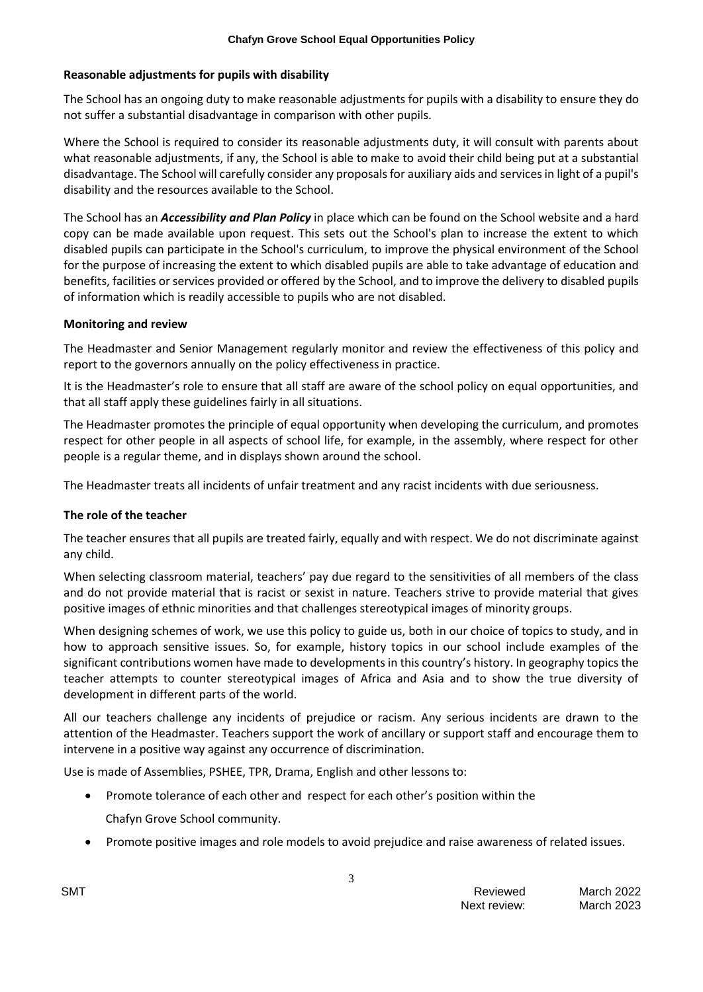### **Reasonable adjustments for pupils with disability**

The School has an ongoing duty to make reasonable adjustments for pupils with a disability to ensure they do not suffer a substantial disadvantage in comparison with other pupils.

Where the School is required to consider its reasonable adjustments duty, it will consult with parents about what reasonable adjustments, if any, the School is able to make to avoid their child being put at a substantial disadvantage. The School will carefully consider any proposals for auxiliary aids and services in light of a pupil's disability and the resources available to the School.

The School has an *Accessibility and Plan Policy* in place which can be found on the School website and a hard copy can be made available upon request. This sets out the School's plan to increase the extent to which disabled pupils can participate in the School's curriculum, to improve the physical environment of the School for the purpose of increasing the extent to which disabled pupils are able to take advantage of education and benefits, facilities or services provided or offered by the School, and to improve the delivery to disabled pupils of information which is readily accessible to pupils who are not disabled.

### **Monitoring and review**

The Headmaster and Senior Management regularly monitor and review the effectiveness of this policy and report to the governors annually on the policy effectiveness in practice.

It is the Headmaster's role to ensure that all staff are aware of the school policy on equal opportunities, and that all staff apply these guidelines fairly in all situations.

The Headmaster promotes the principle of equal opportunity when developing the curriculum, and promotes respect for other people in all aspects of school life, for example, in the assembly, where respect for other people is a regular theme, and in displays shown around the school.

The Headmaster treats all incidents of unfair treatment and any racist incidents with due seriousness.

### **The role of the teacher**

The teacher ensures that all pupils are treated fairly, equally and with respect. We do not discriminate against any child.

When selecting classroom material, teachers' pay due regard to the sensitivities of all members of the class and do not provide material that is racist or sexist in nature. Teachers strive to provide material that gives positive images of ethnic minorities and that challenges stereotypical images of minority groups.

When designing schemes of work, we use this policy to guide us, both in our choice of topics to study, and in how to approach sensitive issues. So, for example, history topics in our school include examples of the significant contributions women have made to developments in this country's history. In geography topics the teacher attempts to counter stereotypical images of Africa and Asia and to show the true diversity of development in different parts of the world.

All our teachers challenge any incidents of prejudice or racism. Any serious incidents are drawn to the attention of the Headmaster. Teachers support the work of ancillary or support staff and encourage them to intervene in a positive way against any occurrence of discrimination.

Use is made of Assemblies, PSHEE, TPR, Drama, English and other lessons to:

- Promote tolerance of each other and respect for each other's position within the Chafyn Grove School community.
- Promote positive images and role models to avoid prejudice and raise awareness of related issues.